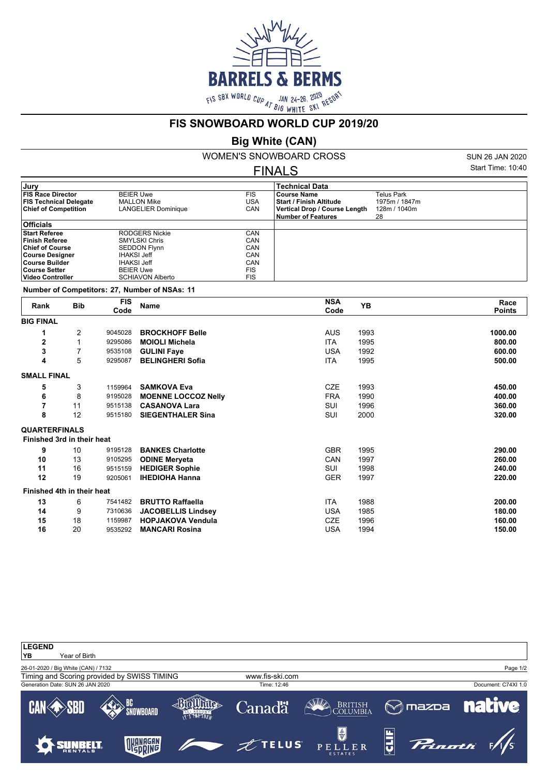

## **FIS SNOWBOARD WORLD CUP 2019/20**

## **Big White (CAN)**

WOMEN'S SNOWBOARD CROSS FINALS

SUN 26 JAN 2020 Start Time: 10:40

| .                                                                                                                                            |                                                                                                                 |                                               |                                                                                                                    |                                                   |  |  |  |
|----------------------------------------------------------------------------------------------------------------------------------------------|-----------------------------------------------------------------------------------------------------------------|-----------------------------------------------|--------------------------------------------------------------------------------------------------------------------|---------------------------------------------------|--|--|--|
| Jury                                                                                                                                         |                                                                                                                 |                                               | <b>Technical Data</b>                                                                                              |                                                   |  |  |  |
| <b>FIS Race Director</b><br><b>FIS Technical Delegate</b><br><b>Chief of Competition</b>                                                     | <b>BEIER Uwe</b><br><b>MALLON Mike</b><br>LANGELIER Dominique                                                   | <b>FIS</b><br>USA<br>CAN                      | <b>Course Name</b><br><b>Start / Finish Altitude</b><br>Vertical Drop / Course Length<br><b>Number of Features</b> | Telus Park<br>1975m / 1847m<br>128m / 1040m<br>28 |  |  |  |
| <b>Officials</b>                                                                                                                             |                                                                                                                 |                                               |                                                                                                                    |                                                   |  |  |  |
| <b>Start Referee</b><br><b>Finish Referee</b><br><b>Chief of Course</b><br><b>Course Designer</b><br>∣Course Builder<br><b>Course Setter</b> | RODGERS Nickie<br><b>SMYLSKI Chris</b><br><b>SEDDON Flynn</b><br>IHAKSI Jeff<br>IHAKSI Jeff<br><b>BEIER Uwe</b> | CAN<br>CAN<br>CAN<br>CAN<br>CAN<br><b>FIS</b> |                                                                                                                    |                                                   |  |  |  |
| Video Controller                                                                                                                             | <b>SCHIAVON Alberto</b>                                                                                         | <b>FIS</b>                                    |                                                                                                                    |                                                   |  |  |  |

**Number of Competitors: 27, Number of NSAs: 11**

| Rank                 | <b>Bib</b>                 | <b>FIS</b><br>Code | <b>Name</b>                | <b>NSA</b><br>Code | <b>YB</b> | Race<br><b>Points</b> |
|----------------------|----------------------------|--------------------|----------------------------|--------------------|-----------|-----------------------|
| <b>BIG FINAL</b>     |                            |                    |                            |                    |           |                       |
| 1                    | 2                          | 9045028            | <b>BROCKHOFF Belle</b>     | <b>AUS</b>         | 1993      | 1000.00               |
| $\mathbf{2}$         | $\mathbf{1}$               | 9295086            | <b>MOIOLI Michela</b>      | <b>ITA</b>         | 1995      | 800.00                |
| 3                    |                            | 9535108            | <b>GULINI Faye</b>         | <b>USA</b>         | 1992      | 600.00                |
| 4                    | 5                          | 9295087            | <b>BELINGHERI Sofia</b>    | <b>ITA</b>         | 1995      | 500.00                |
| <b>SMALL FINAL</b>   |                            |                    |                            |                    |           |                       |
| 5                    | 3                          | 1159964            | <b>SAMKOVA Eva</b>         | <b>CZE</b>         | 1993      | 450.00                |
| 6                    | 8                          | 9195028            | <b>MOENNE LOCCOZ Nelly</b> | <b>FRA</b>         | 1990      | 400.00                |
| $\overline{7}$       | 11                         | 9515138            | <b>CASANOVA Lara</b>       | SUI                | 1996      | 360.00                |
| 8                    | 12                         | 9515180            | <b>SIEGENTHALER Sina</b>   | SUI                | 2000      | 320.00                |
| <b>QUARTERFINALS</b> |                            |                    |                            |                    |           |                       |
|                      | Finished 3rd in their heat |                    |                            |                    |           |                       |
| 9                    | 10                         | 9195128            | <b>BANKES Charlotte</b>    | <b>GBR</b>         | 1995      | 290.00                |
| 10                   | 13                         | 9105295            | <b>ODINE Meryeta</b>       | CAN                | 1997      | 260.00                |
| 11                   | 16                         | 9515159            | <b>HEDIGER Sophie</b>      | SUI                | 1998      | 240.00                |
| 12                   | 19                         | 9205061            | <b>IHEDIOHA Hanna</b>      | <b>GER</b>         | 1997      | 220.00                |
|                      | Finished 4th in their heat |                    |                            |                    |           |                       |
| 13                   | 6                          | 7541482            | <b>BRUTTO Raffaella</b>    | ITA                | 1988      | 200.00                |
| 14                   | 9                          | 7310636            | <b>JACOBELLIS Lindsey</b>  | <b>USA</b>         | 1985      | 180.00                |
| 15                   | 18                         | 1159987            | <b>HOPJAKOVA Vendula</b>   | <b>CZE</b>         | 1996      | 160.00                |
| 16                   | 20                         | 9535292            | <b>MANCARI Rosina</b>      | <b>USA</b>         | 1994      | 150.00                |